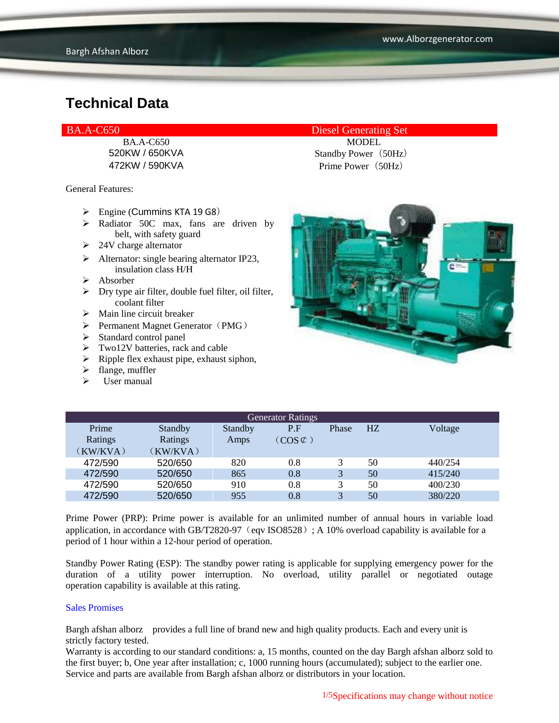General Features:

- $\triangleright$  Engine (Cummins KTA 19 G8)
- $\triangleright$  Radiator 50C max, fans are driven by belt, with safety guard
- $\geq 24V$  charge alternator
- $\triangleright$  Alternator: single bearing alternator IP23, insulation class H/H
- $\triangleright$  Absorber
- $\triangleright$  Dry type air filter, double fuel filter, oil filter, coolant filter
- $\triangleright$  Main line circuit breaker
- $\triangleright$  Permanent Magnet Generator (PMG)
- $\triangleright$  Standard control panel
- $\triangleright$  Two12V batteries, rack and cable
- $\triangleright$  Ripple flex exhaust pipe, exhaust siphon,
- $\blacktriangleright$  flange, muffler
- $\triangleright$  User manual

#### BA.A-C650 Diesel Generating Set

BA.A-C650 MODEL 520KW / 650KVA Standby Power (50Hz) 472KW / 590KVA Prime Power (50Hz)



| <b>Generator Ratings</b> |                |         |                     |       |                |         |
|--------------------------|----------------|---------|---------------------|-------|----------------|---------|
| Prime                    | <b>Standby</b> | Standby | P.F                 | Phase | H <sub>Z</sub> | Voltage |
| Ratings                  | Ratings        | Amps    | $(COS \mathcal{C})$ |       |                |         |
| (KW/KVA)                 | (KW/KVA)       |         |                     |       |                |         |
| 472/590                  | 520/650        | 820     | 0.8                 | 3     | 50             | 440/254 |
| 472/590                  | 520/650        | 865     | 0.8                 | 3     | 50             | 415/240 |
| 472/590                  | 520/650        | 910     | 0.8                 | 3     | 50             | 400/230 |
| 472/590                  | 520/650        | 955     | 0.8                 | 3     | 50             | 380/220 |

Prime Power (PRP): Prime power is available for an unlimited number of annual hours in variable load application, in accordance with GB/T2820-97 (eqv ISO8528); A 10% overload capability is available for a period of 1 hour within a 12-hour period of operation.

Standby Power Rating (ESP): The standby power rating is applicable for supplying emergency power for the duration of a utility power interruption. No overload, utility parallel or negotiated outage operation capability is available at this rating.

#### Sales Promises

Bargh afshan alborz provides a full line of brand new and high quality products. Each and every unit is strictly factory tested.

Warranty is according to our standard conditions: a, 15 months, counted on the day Bargh afshan alborz sold to the first buyer; b, One year after installation; c, 1000 running hours (accumulated); subject to the earlier one. Service and parts are available from Bargh afshan alborz or distributors in your location.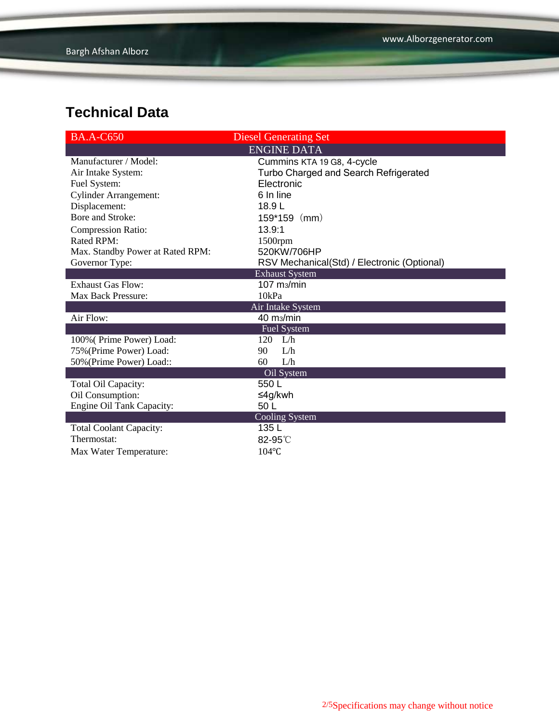| <b>BA.A-C650</b>                 | <b>Diesel Generating Set</b>                |
|----------------------------------|---------------------------------------------|
|                                  | <b>ENGINE DATA</b>                          |
| Manufacturer / Model:            | Cummins KTA 19 G8, 4-cycle                  |
| Air Intake System:               | Turbo Charged and Search Refrigerated       |
| Fuel System:                     | Electronic                                  |
| <b>Cylinder Arrangement:</b>     | 6 In line                                   |
| Displacement:                    | 18.9L                                       |
| Bore and Stroke:                 | $159*159$ (mm)                              |
| <b>Compression Ratio:</b>        | 13.9:1                                      |
| <b>Rated RPM:</b>                | 1500rpm                                     |
| Max. Standby Power at Rated RPM: | 520KW/706HP                                 |
| Governor Type:                   | RSV Mechanical(Std) / Electronic (Optional) |
|                                  | <b>Exhaust System</b>                       |
| <b>Exhaust Gas Flow:</b>         | $107$ m $/m$ in                             |
| Max Back Pressure:               | 10kPa                                       |
|                                  | Air Intake System                           |
| Air Flow:                        | 40 m <sub>3</sub> /min                      |
|                                  | Fuel System                                 |
| 100% (Prime Power) Load:         | 120 L/h                                     |
| 75% (Prime Power) Load:          | 90<br>L/h                                   |
| 50% (Prime Power) Load::         | 60<br>L/h                                   |
|                                  | Oil System                                  |
| Total Oil Capacity:              | 550L                                        |
| Oil Consumption:                 | ≤4g/kwh                                     |
| Engine Oil Tank Capacity:        | 50 L                                        |
|                                  | Cooling System                              |
| <b>Total Coolant Capacity:</b>   | 135L                                        |
| Thermostat:                      | 82-95°C                                     |
| Max Water Temperature:           | $104$ °C                                    |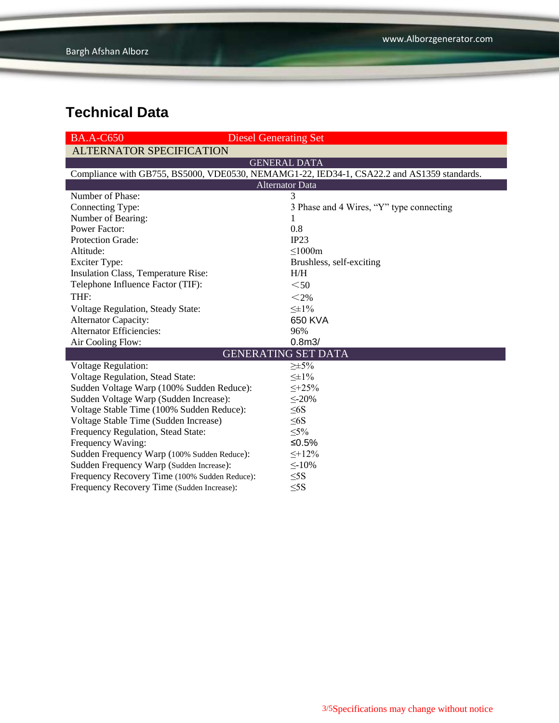| $BA.A-C650$<br><b>Diesel Generating Set</b>                                                |                                          |  |  |  |  |  |
|--------------------------------------------------------------------------------------------|------------------------------------------|--|--|--|--|--|
| <b>ALTERNATOR SPECIFICATION</b>                                                            |                                          |  |  |  |  |  |
| <b>GENERAL DATA</b>                                                                        |                                          |  |  |  |  |  |
| Compliance with GB755, BS5000, VDE0530, NEMAMG1-22, IED34-1, CSA22.2 and AS1359 standards. |                                          |  |  |  |  |  |
| <b>Alternator Data</b>                                                                     |                                          |  |  |  |  |  |
| Number of Phase:                                                                           | 3                                        |  |  |  |  |  |
| Connecting Type:                                                                           | 3 Phase and 4 Wires, "Y" type connecting |  |  |  |  |  |
| Number of Bearing:                                                                         | 1                                        |  |  |  |  |  |
| <b>Power Factor:</b>                                                                       | 0.8                                      |  |  |  |  |  |
| <b>Protection Grade:</b>                                                                   | IP23                                     |  |  |  |  |  |
| Altitude:                                                                                  | $\leq$ 1000m                             |  |  |  |  |  |
| <b>Exciter Type:</b>                                                                       | Brushless, self-exciting                 |  |  |  |  |  |
| Insulation Class, Temperature Rise:                                                        | H/H                                      |  |  |  |  |  |
| Telephone Influence Factor (TIF):                                                          | $50$                                     |  |  |  |  |  |
| THF:                                                                                       | $<$ 2%                                   |  |  |  |  |  |
| Voltage Regulation, Steady State:                                                          | $\leq \pm 1\%$                           |  |  |  |  |  |
| <b>Alternator Capacity:</b>                                                                | 650 KVA                                  |  |  |  |  |  |
| <b>Alternator Efficiencies:</b>                                                            | 96%                                      |  |  |  |  |  |
| Air Cooling Flow:                                                                          | 0.8 <sub>m3</sub>                        |  |  |  |  |  |
|                                                                                            | <b>GENERATING SET DATA</b>               |  |  |  |  |  |
| Voltage Regulation:                                                                        | $\geq \pm 5\%$                           |  |  |  |  |  |
| Voltage Regulation, Stead State:                                                           | $\leq \pm 1\%$                           |  |  |  |  |  |
| Sudden Voltage Warp (100% Sudden Reduce):                                                  | $\leq +25\%$                             |  |  |  |  |  |
| Sudden Voltage Warp (Sudden Increase):                                                     | $\leq$ -20%                              |  |  |  |  |  |
| Voltage Stable Time (100% Sudden Reduce):                                                  | $\leq 6S$                                |  |  |  |  |  |
| Voltage Stable Time (Sudden Increase)                                                      | $\leq 6S$                                |  |  |  |  |  |
| Frequency Regulation, Stead State:                                                         | $\leq 5\%$                               |  |  |  |  |  |
| Frequency Waving:                                                                          | ≤0.5%                                    |  |  |  |  |  |
| Sudden Frequency Warp (100% Sudden Reduce):                                                | $\leq +12\%$                             |  |  |  |  |  |
| Sudden Frequency Warp (Sudden Increase):                                                   | $\leq$ -10%                              |  |  |  |  |  |
| Frequency Recovery Time (100% Sudden Reduce):                                              | $\leq$ 5S                                |  |  |  |  |  |
| Frequency Recovery Time (Sudden Increase):                                                 | $\leq$ 5S                                |  |  |  |  |  |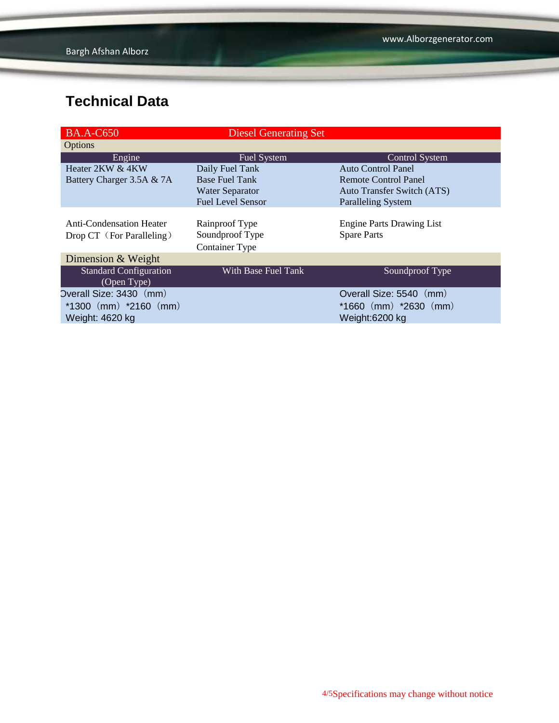| <b>BA.A-C650</b>                | <b>Diesel Generating Set</b> |                                   |
|---------------------------------|------------------------------|-----------------------------------|
| Options                         |                              |                                   |
| Engine                          | <b>Fuel System</b>           | <b>Control System</b>             |
| Heater 2KW & 4KW                | Daily Fuel Tank              | <b>Auto Control Panel</b>         |
| Battery Charger 3.5A & 7A       | <b>Base Fuel Tank</b>        | Remote Control Panel              |
|                                 | Water Separator              | <b>Auto Transfer Switch (ATS)</b> |
|                                 | <b>Fuel Level Sensor</b>     | <b>Paralleling System</b>         |
|                                 |                              |                                   |
| <b>Anti-Condensation Heater</b> | Rainproof Type               | <b>Engine Parts Drawing List</b>  |
| Drop CT (For Paralleling)       | Soundproof Type              | <b>Spare Parts</b>                |
|                                 | <b>Container Type</b>        |                                   |
| Dimension & Weight              |                              |                                   |
| <b>Standard Configuration</b>   | With Base Fuel Tank          | Soundproof Type                   |
| (Open Type)                     |                              |                                   |
| Overall Size: 3430 (mm)         |                              | Overall Size: 5540 (mm)           |
| $*1300$ (mm) $*2160$ (mm)       |                              | $*1660$ (mm) $*2630$ (mm)         |
| Weight: 4620 kg                 |                              | Weight:6200 kg                    |